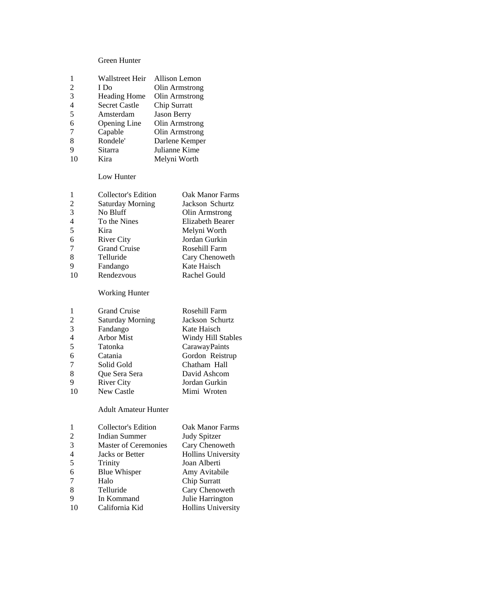### Green Hunter

|    | <b>Wallstreet Heir</b> | Allison Lemon      |
|----|------------------------|--------------------|
| 2  | I Do                   | Olin Armstrong     |
| 3  | <b>Heading Home</b>    | Olin Armstrong     |
| 4  | <b>Secret Castle</b>   | Chip Surratt       |
| .5 | Amsterdam              | <b>Jason Berry</b> |
| 6  | <b>Opening Line</b>    | Olin Armstrong     |
|    | Capable                | Olin Armstrong     |
| 8  | Rondele'               | Darlene Kemper     |
|    | Sitarra                | Julianne Kime      |
| 10 | Kira                   | Melyni Worth       |

### Low Hunter

|                | <b>Collector's Edition</b> | <b>Oak Manor Farms</b> |
|----------------|----------------------------|------------------------|
| 2              | <b>Saturday Morning</b>    | Jackson Schurtz        |
| 3              | No Bluff                   | Olin Armstrong         |
| $\overline{4}$ | To the Nines               | Elizabeth Bearer       |
| 5              | Kira                       | Melyni Worth           |
| 6              | <b>River City</b>          | Jordan Gurkin          |
| 7              | <b>Grand Cruise</b>        | Rosehill Farm          |
| 8              | Telluride                  | Cary Chenoweth         |
| 9              | Fandango                   | Kate Haisch            |
| 10             | Rendezvous                 | Rachel Gould           |
|                |                            |                        |

# Working Hunter

|                | <b>Grand Cruise</b>     | Rosehill Farm      |
|----------------|-------------------------|--------------------|
| 2              | <b>Saturday Morning</b> | Jackson Schurtz    |
| 3              | Fandango                | Kate Haisch        |
| $\overline{4}$ | <b>Arbor Mist</b>       | Windy Hill Stables |
| 5              | Tatonka                 | CarawayPaints      |
| 6              | Catania                 | Gordon Reistrup    |
| 7              | Solid Gold              | Chatham Hall       |
| 8              | Que Sera Sera           | David Ashcom       |
| 9              | <b>River City</b>       | Jordan Gurkin      |
| 10             | <b>New Castle</b>       | Mimi Wroten        |
|                |                         |                    |

### Adult Amateur Hunter

|    | Collector's Edition         | Oak Manor Farms           |
|----|-----------------------------|---------------------------|
| 2  | <b>Indian Summer</b>        | <b>Judy Spitzer</b>       |
| 3  | <b>Master of Ceremonies</b> | Cary Chenoweth            |
| 4  | Jacks or Better             | <b>Hollins University</b> |
| 5  | Trinity                     | Joan Alberti              |
| 6  | <b>Blue Whisper</b>         | Amy Avitabile             |
| 7  | Halo                        | Chip Surratt              |
| 8  | Telluride                   | Cary Chenoweth            |
| 9  | In Kommand                  | Julie Harrington          |
| 10 | California Kid              | <b>Hollins University</b> |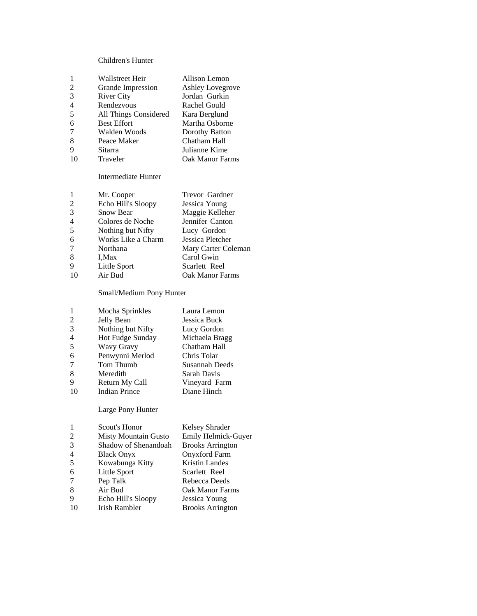### Children's Hunter

| -1 | Wallstreet Heir       | Allison Lemon           |
|----|-----------------------|-------------------------|
| 2  | Grande Impression     | <b>Ashley Lovegrove</b> |
| 3  | <b>River City</b>     | Jordan Gurkin           |
| 4  | Rendezvous            | Rachel Gould            |
| 5  | All Things Considered | Kara Berglund           |
| 6  | <b>Best Effort</b>    | Martha Osborne          |
| 7  | Walden Woods          | Dorothy Batton          |
| 8  | Peace Maker           | Chatham Hall            |
| 9  | Sitarra               | Julianne Kime           |
| 10 | Traveler              | <b>Oak Manor Farms</b>  |

### Intermediate Hunter

|    | Mr. Cooper         | Trevor Gardner         |
|----|--------------------|------------------------|
| 2  | Echo Hill's Sloopy | Jessica Young          |
| 3  | <b>Snow Bear</b>   | Maggie Kelleher        |
| 4  | Colores de Noche   | Jennifer Canton        |
| 5  | Nothing but Nifty  | Lucy Gordon            |
| 6  | Works Like a Charm | Jessica Pletcher       |
| 7  | Northana           | Mary Carter Coleman    |
| 8  | I,Max              | Carol Gwin             |
| 9  | Little Sport       | Scarlett Reel          |
| 10 | Air Bud            | <b>Oak Manor Farms</b> |
|    |                    |                        |

# Small/Medium Pony Hunter

|                | Mocha Sprinkles      | Laura Lemon    |
|----------------|----------------------|----------------|
| $\mathcal{L}$  | Jelly Bean           | Jessica Buck   |
| 3              | Nothing but Nifty    | Lucy Gordon    |
| $\overline{4}$ | Hot Fudge Sunday     | Michaela Bragg |
| -5             | Wavy Gravy           | Chatham Hall   |
| 6              | Penwynni Merlod      | Chris Tolar    |
|                | Tom Thumb            | Susannah Deeds |
| 8              | Meredith             | Sarah Davis    |
|                | Return My Call       | Vineyard Farm  |
| 10             | <b>Indian Prince</b> | Diane Hinch    |

## Large Pony Hunter

|    | Scout's Honor               | <b>Kelsey Shrader</b>   |
|----|-----------------------------|-------------------------|
| 2  | <b>Misty Mountain Gusto</b> | Emily Helmick-Guyer     |
| 3  | Shadow of Shenandoah        | <b>Brooks Arrington</b> |
| 4  | <b>Black Onyx</b>           | Onyxford Farm           |
| 5  | Kowabunga Kitty             | <b>Kristin Landes</b>   |
| 6  | Little Sport                | Scarlett Reel           |
| 7  | Pep Talk                    | Rebecca Deeds           |
| 8  | Air Bud                     | <b>Oak Manor Farms</b>  |
| 9  | Echo Hill's Sloopy          | Jessica Young           |
| 10 | Irish Rambler               | <b>Brooks Arrington</b> |
|    |                             |                         |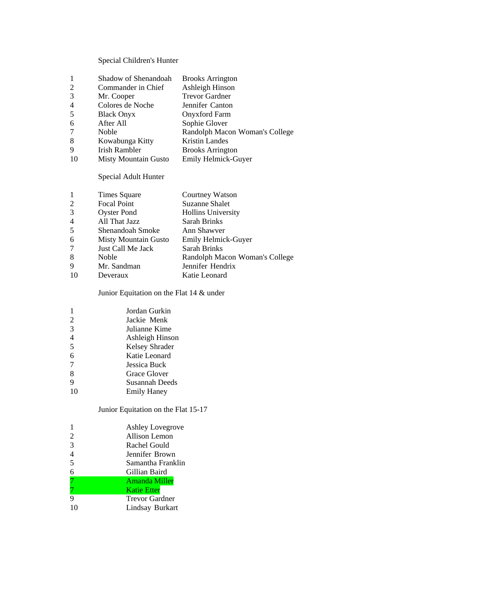### Special Children's Hunter

| $\mathbf{1}$   | Shadow of Shenandoah        | <b>Brooks Arrington</b>        |
|----------------|-----------------------------|--------------------------------|
| 2              | Commander in Chief          | Ashleigh Hinson                |
| 3              | Mr. Cooper                  | <b>Trevor Gardner</b>          |
| $\overline{4}$ | Colores de Noche            | Jennifer Canton                |
| 5              | <b>Black Onyx</b>           | Onyxford Farm                  |
| 6              | After All                   | Sophie Glover                  |
| 7              | Noble                       | Randolph Macon Woman's College |
| 8              | Kowabunga Kitty             | <b>Kristin Landes</b>          |
| 9              | Irish Rambler               | <b>Brooks Arrington</b>        |
| 10             | <b>Misty Mountain Gusto</b> | Emily Helmick-Guyer            |

### Special Adult Hunter

| $\mathbf{1}$   | Times Square                | Courtney Watson                |
|----------------|-----------------------------|--------------------------------|
| 2              | <b>Focal Point</b>          | <b>Suzanne Shalet</b>          |
| 3              | <b>Oyster Pond</b>          | <b>Hollins University</b>      |
| $\overline{4}$ | All That Jazz               | Sarah Brinks                   |
| 5              | <b>Shenandoah Smoke</b>     | Ann Shawver                    |
| 6              | <b>Misty Mountain Gusto</b> | Emily Helmick-Guyer            |
| 7              | Just Call Me Jack           | <b>Sarah Brinks</b>            |
| 8              | Noble                       | Randolph Macon Woman's College |
| 9              | Mr. Sandman                 | Jennifer Hendrix               |
| 10             | Deveraux                    | Katie Leonard                  |

Junior Equitation on the Flat 14 & under

|                | Jordan Gurkin         |
|----------------|-----------------------|
| 2              | Jackie Menk           |
| 3              | Julianne Kime         |
| $\overline{4}$ | Ashleigh Hinson       |
| 5              | <b>Kelsey Shrader</b> |
| 6              | Katie Leonard         |
| 7              | Jessica Buck          |
| 8              | Grace Glover          |
| Q              | <b>Susannah Deeds</b> |
|                |                       |

10 Emily Haney

## Junior Equitation on the Flat 15-17

|                | <b>Ashley Lovegrove</b> |
|----------------|-------------------------|
| 2              | Allison Lemon           |
| 3              | Rachel Gould            |
| $\overline{4}$ | Jennifer Brown          |
| 5              | Samantha Franklin       |
| 6              | Gillian Baird           |
| $\overline{7}$ | Amanda Miller           |
|                | <b>Katie Etter</b>      |
| q              | <b>Trevor Gardner</b>   |
|                | Lindsay Burkart         |